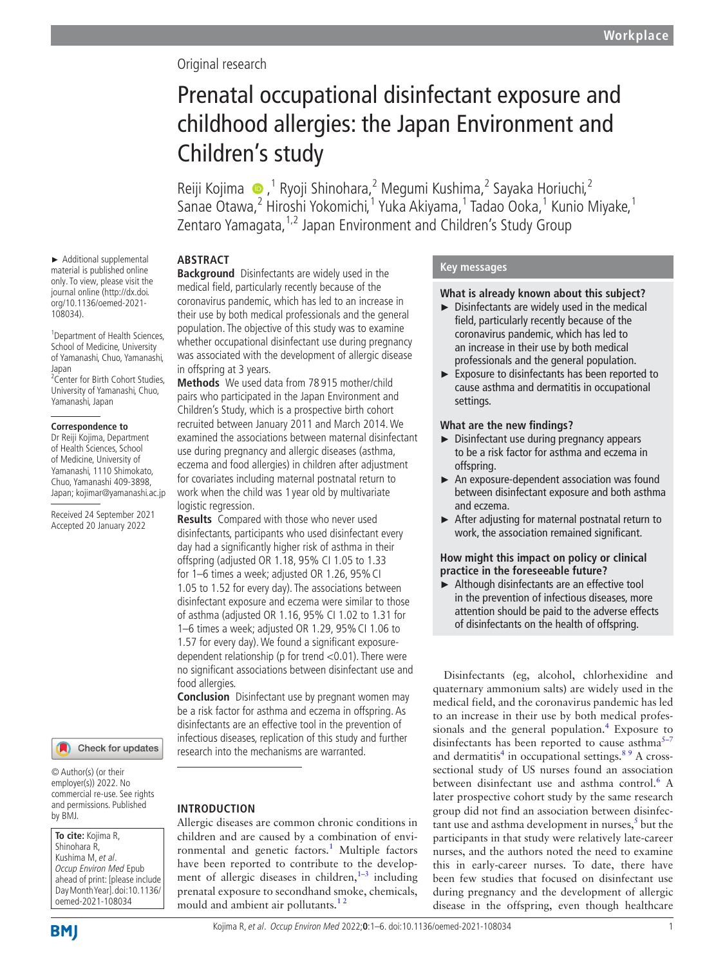# Original research

# Prenatal occupational disinfectant exposure and childhood allergies: the Japan Environment and Children's study

Reiji Kojima ●,<sup>1</sup> Ryoji Shinohara,<sup>2</sup> Megumi Kushima,<sup>2</sup> Sayaka Horiuchi,<sup>2</sup> Sanae Otawa,<sup>2</sup> Hiroshi Yokomichi,<sup>1</sup> Yuka Akiyama,<sup>1</sup> Tadao Ooka,<sup>1</sup> Kunio Miyake,<sup>1</sup> Zentaro Yamagata,1,2 Japan Environment and Children's Study Group

# **ABSTRACT**

**Background** Disinfectants are widely used in the medical field, particularly recently because of the coronavirus pandemic, which has led to an increase in their use by both medical professionals and the general population. The objective of this study was to examine whether occupational disinfectant use during pregnancy was associated with the development of allergic disease in offspring at 3 years.

**Methods** We used data from 78 915 mother/child pairs who participated in the Japan Environment and Children's Study, which is a prospective birth cohort recruited between January 2011 and March 2014. We examined the associations between maternal disinfectant use during pregnancy and allergic diseases (asthma, eczema and food allergies) in children after adjustment for covariates including maternal postnatal return to work when the child was 1 year old by multivariate logistic regression.

**Results** Compared with those who never used disinfectants, participants who used disinfectant every day had a significantly higher risk of asthma in their offspring (adjusted OR 1.18, 95% CI 1.05 to 1.33 for 1–6 times a week; adjusted OR 1.26, 95%CI 1.05 to 1.52 for every day). The associations between disinfectant exposure and eczema were similar to those of asthma (adjusted OR 1.16, 95% CI 1.02 to 1.31 for 1–6 times a week; adjusted OR 1.29, 95%CI 1.06 to 1.57 for every day). We found a significant exposuredependent relationship (p for trend <0.01). There were no significant associations between disinfectant use and food allergies.

**Conclusion** Disinfectant use by pregnant women may be a risk factor for asthma and eczema in offspring. As disinfectants are an effective tool in the prevention of infectious diseases, replication of this study and further research into the mechanisms are warranted.

# **INTRODUCTION**

Allergic diseases are common chronic conditions in children and are caused by a combination of environmental and genetic factors.<sup>1</sup> Multiple factors have been reported to contribute to the development of allergic diseases in children, $1-3$  including prenatal exposure to secondhand smoke, chemicals, mould and ambient air pollutants.<sup>12</sup>

## **Key messages**

## **What is already known about this subject?**

- $\triangleright$  Disinfectants are widely used in the medical field, particularly recently because of the coronavirus pandemic, which has led to an increase in their use by both medical professionals and the general population.
- ► Exposure to disinfectants has been reported to cause asthma and dermatitis in occupational settings.

## **What are the new findings?**

- ► Disinfectant use during pregnancy appears to be a risk factor for asthma and eczema in offspring.
- ► An exposure-dependent association was found between disinfectant exposure and both asthma and eczema.
- ► After adjusting for maternal postnatal return to work, the association remained significant.

## **How might this impact on policy or clinical practice in the foreseeable future?**

► Although disinfectants are an effective tool in the prevention of infectious diseases, more attention should be paid to the adverse effects of disinfectants on the health of offspring.

Disinfectants (eg, alcohol, chlorhexidine and quaternary ammonium salts) are widely used in the medical field, and the coronavirus pandemic has led to an increase in their use by both medical professionals and the general population. $4$  Exposure to disinfectants has been reported to cause asthma $5-7$ and dermatitis<sup>4</sup> in occupational settings.<sup>89</sup> A crosssectional study of US nurses found an association between disinfectant use and asthma control.<sup>6</sup> A later prospective cohort study by the same research group did not find an association between disinfec $t$ ant use and asthma development in nurses, $5$  but the participants in that study were relatively late-career nurses, and the authors noted the need to examine this in early-career nurses. To date, there have been few studies that focused on disinfectant use during pregnancy and the development of allergic disease in the offspring, even though healthcare

► Additional supplemental material is published online only. To view, please visit the journal online ([http://dx.doi.](http://dx.doi.org/10.1136/oemed-2021-108034) [org/10.1136/oemed-2021-](http://dx.doi.org/10.1136/oemed-2021-108034) [108034](http://dx.doi.org/10.1136/oemed-2021-108034)).

1 Department of Health Sciences, School of Medicine, University of Yamanashi, Chuo, Yamanashi,

Japan 2 Center for Birth Cohort Studies, University of Yamanashi, Chuo, Yamanashi, Japan

#### **Correspondence to**

Dr Reiji Kojima, Department of Health Sciences, School of Medicine, University of Yamanashi, 1110 Shimokato, Chuo, Yamanashi 409-3898, Japan; kojimar@yamanashi.ac.jp

Received 24 September 2021 Accepted 20 January 2022



© Author(s) (or their employer(s)) 2022. No commercial re-use. See rights and permissions. Published by BMJ.

**To cite:** Kojima R, Shinohara R, Kushima M, et al. Occup Environ Med Epub ahead of print: [please include Day Month Year]. doi:10.1136/ oemed-2021-108034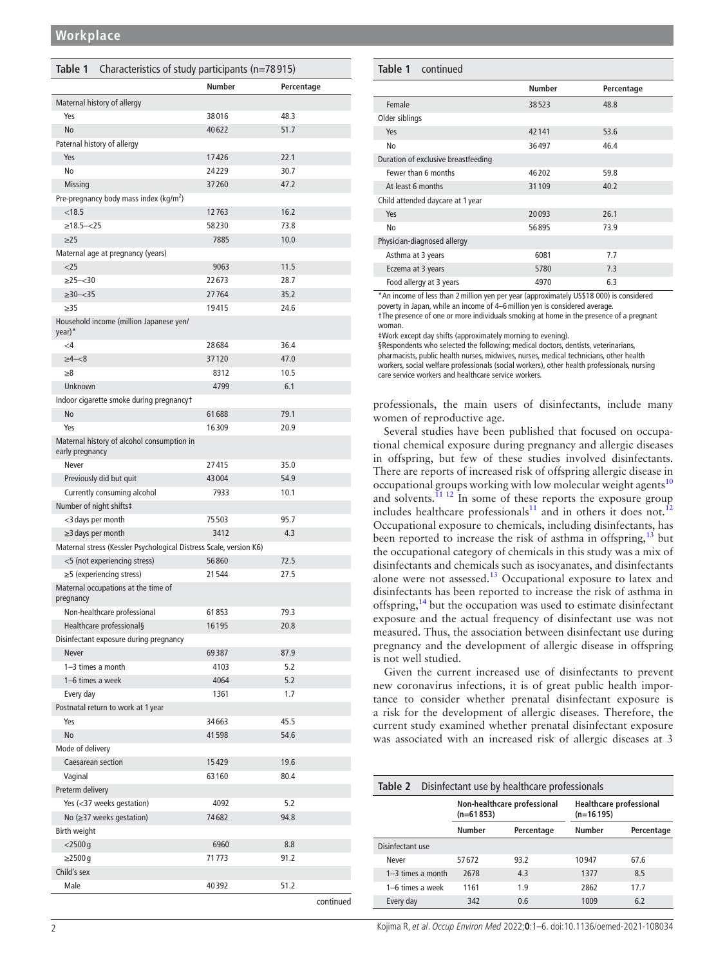<span id="page-1-0"></span>

| Table 1<br>Characteristics of study participants (n=78915)         |               |            |  |  |
|--------------------------------------------------------------------|---------------|------------|--|--|
|                                                                    | <b>Number</b> | Percentage |  |  |
| Maternal history of allergy                                        |               |            |  |  |
| Yes                                                                | 38016         | 48.3       |  |  |
| <b>No</b>                                                          | 40622         | 51.7       |  |  |
| Paternal history of allergy                                        |               |            |  |  |
| Yes                                                                | 17426         | 22.1       |  |  |
| No                                                                 | 24229         | 30.7       |  |  |
| Missing                                                            | 37260         | 47.2       |  |  |
| Pre-pregnancy body mass index (kg/m <sup>2</sup> )                 |               |            |  |  |
| < 18.5                                                             | 12763         | 16.2       |  |  |
| $>18.5 - 25$                                                       | 58230         | 73.8       |  |  |
| $\geq$ 25                                                          | 7885          | 10.0       |  |  |
| Maternal age at pregnancy (years)                                  |               |            |  |  |
| $<$ 25                                                             | 9063          | 11.5       |  |  |
| $\geq$ 25-<30                                                      | 22673         | 28.7       |  |  |
| $\geq 30 - 35$                                                     | 27764         | 35.2       |  |  |
| $\geq$ 35                                                          | 19415         | 24.6       |  |  |
| Household income (million Japanese yen/                            |               |            |  |  |
| $year)^*$                                                          |               |            |  |  |
| $<$ 4                                                              | 28684         | 36.4       |  |  |
| $\geq 4 - 8$                                                       | 37120         | 47.0       |  |  |
| $\geq 8$                                                           | 8312          | 10.5       |  |  |
| Unknown                                                            | 4799          | 6.1        |  |  |
| Indoor cigarette smoke during pregnancyt                           |               |            |  |  |
| No                                                                 | 61688         | 79.1       |  |  |
| Yes                                                                | 16309         | 20.9       |  |  |
| Maternal history of alcohol consumption in                         |               |            |  |  |
| early pregnancy                                                    |               |            |  |  |
| Never                                                              | 27415         | 35.0       |  |  |
| Previously did but quit                                            | 43004         | 54.9       |  |  |
| Currently consuming alcohol                                        | 7933          | 10.1       |  |  |
| Number of night shifts‡                                            |               |            |  |  |
| <3 days per month                                                  | 75503         | 95.7       |  |  |
| $\geq$ 3 days per month                                            | 3412          | 4.3        |  |  |
| Maternal stress (Kessler Psychological Distress Scale, version K6) |               |            |  |  |
| <5 (not experiencing stress)                                       | 56860         | 72.5       |  |  |
| $\geq$ 5 (experiencing stress)                                     | 21544         | 27.5       |  |  |
| Maternal occupations at the time of<br>pregnancy                   |               |            |  |  |
| Non-healthcare professional                                        | 61853         | 79.3       |  |  |
| Healthcare professional§                                           | 16195         | 20.8       |  |  |
| Disinfectant exposure during pregnancy                             |               |            |  |  |
| <b>Never</b>                                                       | 69387         | 87.9       |  |  |
| 1-3 times a month                                                  | 4103          | 5.2        |  |  |
| 1-6 times a week                                                   | 4064          | 5.2        |  |  |
| Every day                                                          | 1361          | 1.7        |  |  |
| Postnatal return to work at 1 year                                 |               |            |  |  |
| Yes                                                                | 34663         | 45.5       |  |  |
| No                                                                 | 41598         | 54.6       |  |  |
| Mode of delivery                                                   |               |            |  |  |
| Caesarean section                                                  | 15429         | 19.6       |  |  |
| Vaginal                                                            | 63160         | 80.4       |  |  |
| Preterm delivery                                                   |               |            |  |  |
| Yes (<37 weeks gestation)                                          | 4092          | 5.2        |  |  |
| No $(\geq)37$ weeks gestation)                                     | 74682         | 94.8       |  |  |
| Birth weight                                                       |               |            |  |  |
| $<$ 2500 g                                                         | 6960          | 8.8        |  |  |
| $\geq$ 2500 g                                                      | 71773         | 91.2       |  |  |
| Child's sex                                                        |               |            |  |  |
| Male                                                               | 40392         | 51.2       |  |  |
|                                                                    |               | continued  |  |  |

| <b>Table 1</b> continued            |               |            |
|-------------------------------------|---------------|------------|
|                                     | <b>Number</b> | Percentage |
| Female                              | 38523         | 48.8       |
| Older siblings                      |               |            |
| Yes                                 | 42141         | 53.6       |
| No                                  | 36497         | 46.4       |
| Duration of exclusive breastfeeding |               |            |
| Fewer than 6 months                 | 46202         | 59.8       |
| At least 6 months                   | 31109         | 40.2       |
| Child attended daycare at 1 year    |               |            |
| Yes                                 | 20093         | 26.1       |
| No                                  | 56895         | 73.9       |
| Physician-diagnosed allergy         |               |            |
| Asthma at 3 years                   | 6081          | 7.7        |
| Eczema at 3 years                   | 5780          | 7.3        |
| Food allergy at 3 years             | 4970          | 6.3        |

\*An income of less than 2million yen per year (approximately US\$18 000) is considered

poverty in Japan, while an income of 4–6million yen is considered average. †The presence of one or more individuals smoking at home in the presence of a pregnant

woman.

‡Work except day shifts (approximately morning to evening).

§Respondents who selected the following; medical doctors, dentists, veterinarians, pharmacists, public health nurses, midwives, nurses, medical technicians, other health workers, social welfare professionals (social workers), other health professionals, nursing

care service workers and healthcare service workers.

professionals, the main users of disinfectants, include many women of reproductive age.

Several studies have been published that focused on occupational chemical exposure during pregnancy and allergic diseases in offspring, but few of these studies involved disinfectants. There are reports of increased risk of offspring allergic disease in occupational groups working with low molecular weight agents<sup>[10](#page-5-5)</sup> and solvents.<sup>[11 12](#page-5-6)</sup> In some of these reports the exposure group includes healthcare professionals<sup>[11](#page-5-6)</sup> and in others it does not.<sup>[12](#page-5-7)</sup> Occupational exposure to chemicals, including disinfectants, has been reported to increase the risk of asthma in offspring,  $13$  but the occupational category of chemicals in this study was a mix of disinfectants and chemicals such as isocyanates, and disinfectants alone were not assessed.<sup>13</sup> Occupational exposure to latex and disinfectants has been reported to increase the risk of asthma in offspring,<sup>14</sup> but the occupation was used to estimate disinfectant exposure and the actual frequency of disinfectant use was not measured. Thus, the association between disinfectant use during pregnancy and the development of allergic disease in offspring is not well studied.

Given the current increased use of disinfectants to prevent new coronavirus infections, it is of great public health importance to consider whether prenatal disinfectant exposure is a risk for the development of allergic diseases. Therefore, the current study examined whether prenatal disinfectant exposure was associated with an increased risk of allergic diseases at 3

<span id="page-1-1"></span>

|                     | <b>Table 2</b> Disinfectant use by healthcare professionals |            |                                               |            |  |
|---------------------|-------------------------------------------------------------|------------|-----------------------------------------------|------------|--|
|                     | Non-healthcare professional<br>$(n=61853)$                  |            | <b>Healthcare professional</b><br>$(n=16195)$ |            |  |
|                     | Number                                                      | Percentage | Number                                        | Percentage |  |
| Disinfectant use    |                                                             |            |                                               |            |  |
| Never               | 57672                                                       | 93.2       | 10947                                         | 67.6       |  |
| $1-3$ times a month | 2678                                                        | 4.3        | 1377                                          | 8.5        |  |
| 1-6 times a week    | 1161                                                        | 1.9        | 2862                                          | 17.7       |  |
| Every day           | 342                                                         | 0.6        | 1009                                          | 6.2        |  |

2 Kojima R, et al. Occup Environ Med 2022;**0**:1–6. doi:10.1136/oemed-2021-108034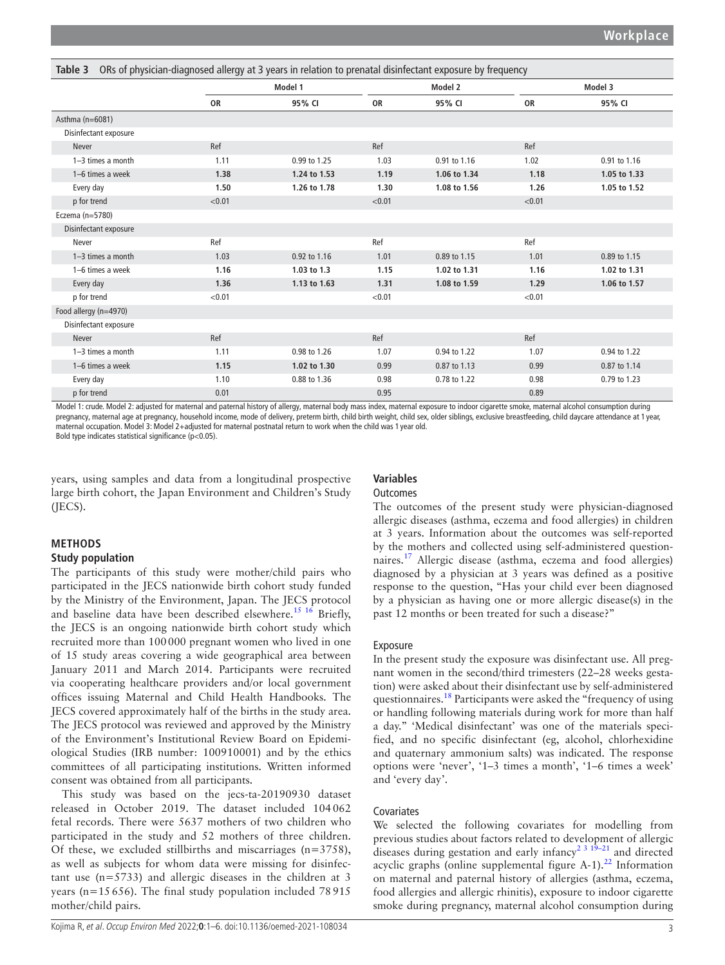<span id="page-2-0"></span>

| ORs of physician-diagnosed allergy at 3 years in relation to prenatal disinfectant exposure by frequency<br>Table 3 |           |              |           |              |           |              |  |
|---------------------------------------------------------------------------------------------------------------------|-----------|--------------|-----------|--------------|-----------|--------------|--|
|                                                                                                                     |           | Model 1      |           | Model 2      |           | Model 3      |  |
|                                                                                                                     | <b>OR</b> | 95% CI       | <b>OR</b> | 95% CI       | <b>OR</b> | 95% CI       |  |
| Asthma (n=6081)                                                                                                     |           |              |           |              |           |              |  |
| Disinfectant exposure                                                                                               |           |              |           |              |           |              |  |
| Never                                                                                                               | Ref       |              | Ref       |              | Ref       |              |  |
| $1-3$ times a month                                                                                                 | 1.11      | 0.99 to 1.25 | 1.03      | 0.91 to 1.16 | 1.02      | 0.91 to 1.16 |  |
| 1-6 times a week                                                                                                    | 1.38      | 1.24 to 1.53 | 1.19      | 1.06 to 1.34 | 1.18      | 1.05 to 1.33 |  |
| Every day                                                                                                           | 1.50      | 1.26 to 1.78 | 1.30      | 1.08 to 1.56 | 1.26      | 1.05 to 1.52 |  |
| p for trend                                                                                                         | < 0.01    |              | < 0.01    |              | < 0.01    |              |  |
| Eczema (n=5780)                                                                                                     |           |              |           |              |           |              |  |
| Disinfectant exposure                                                                                               |           |              |           |              |           |              |  |
| Never                                                                                                               | Ref       |              | Ref       |              | Ref       |              |  |
| $1-3$ times a month                                                                                                 | 1.03      | 0.92 to 1.16 | 1.01      | 0.89 to 1.15 | 1.01      | 0.89 to 1.15 |  |
| 1-6 times a week                                                                                                    | 1.16      | 1.03 to 1.3  | 1.15      | 1.02 to 1.31 | 1.16      | 1.02 to 1.31 |  |
| Every day                                                                                                           | 1.36      | 1.13 to 1.63 | 1.31      | 1.08 to 1.59 | 1.29      | 1.06 to 1.57 |  |
| p for trend                                                                                                         | < 0.01    |              | < 0.01    |              | < 0.01    |              |  |
| Food allergy (n=4970)                                                                                               |           |              |           |              |           |              |  |
| Disinfectant exposure                                                                                               |           |              |           |              |           |              |  |
| <b>Never</b>                                                                                                        | Ref       |              | Ref       |              | Ref       |              |  |
| $1-3$ times a month                                                                                                 | 1.11      | 0.98 to 1.26 | 1.07      | 0.94 to 1.22 | 1.07      | 0.94 to 1.22 |  |
| 1-6 times a week                                                                                                    | 1.15      | 1.02 to 1.30 | 0.99      | 0.87 to 1.13 | 0.99      | 0.87 to 1.14 |  |
| Every day                                                                                                           | 1.10      | 0.88 to 1.36 | 0.98      | 0.78 to 1.22 | 0.98      | 0.79 to 1.23 |  |
| p for trend                                                                                                         | 0.01      |              | 0.95      |              | 0.89      |              |  |

Model 1: crude. Model 2: adjusted for maternal and paternal history of allergy, maternal body mass index, maternal exposure to indoor cigarette smoke, maternal alcohol consumption during pregnancy, maternal age at pregnancy, household income, mode of delivery, preterm birth, child birth weight, child sex, older siblings, exclusive breastfeeding, child daycare attendance at 1 year, maternal occupation. Model 3: Model 2+adjusted for maternal postnatal return to work when the child was 1 year old. Bold type indicates statistical significance (p<0.05).

years, using samples and data from a longitudinal prospective large birth cohort, the Japan Environment and Children's Study (JECS).

# **Variables**

## **Outcomes**

# **METHODS**

### **Study population**

The participants of this study were mother/child pairs who participated in the JECS nationwide birth cohort study funded by the Ministry of the Environment, Japan. The JECS protocol and baseline data have been described elsewhere[.15 16](#page-5-10) Briefly, the JECS is an ongoing nationwide birth cohort study which recruited more than 100000 pregnant women who lived in one of 15 study areas covering a wide geographical area between January 2011 and March 2014. Participants were recruited via cooperating healthcare providers and/or local government offices issuing Maternal and Child Health Handbooks. The JECS covered approximately half of the births in the study area. The JECS protocol was reviewed and approved by the Ministry of the Environment's Institutional Review Board on Epidemiological Studies (IRB number: 100910001) and by the ethics committees of all participating institutions. Written informed consent was obtained from all participants.

This study was based on the jecs-ta-20190930 dataset released in October 2019. The dataset included 104062 fetal records. There were 5637 mothers of two children who participated in the study and 52 mothers of three children. Of these, we excluded stillbirths and miscarriages (n=3758), as well as subjects for whom data were missing for disinfectant use (n=5733) and allergic diseases in the children at 3 years ( $n=15656$ ). The final study population included 78915 mother/child pairs.

The outcomes of the present study were physician-diagnosed allergic diseases (asthma, eczema and food allergies) in children at 3 years. Information about the outcomes was self-reported by the mothers and collected using self-administered questionnaires.[17](#page-5-11) Allergic disease (asthma, eczema and food allergies) diagnosed by a physician at 3 years was defined as a positive response to the question, "Has your child ever been diagnosed by a physician as having one or more allergic disease(s) in the past 12 months or been treated for such a disease?"

# Exposure

In the present study the exposure was disinfectant use. All pregnant women in the second/third trimesters (22–28 weeks gestation) were asked about their disinfectant use by self-administered questionnaires.<sup>[18](#page-5-12)</sup> Participants were asked the "frequency of using or handling following materials during work for more than half a day." 'Medical disinfectant' was one of the materials specified, and no specific disinfectant (eg, alcohol, chlorhexidine and quaternary ammonium salts) was indicated. The response options were 'never', '1–3 times a month', '1–6 times a week' and 'every day'.

## Covariates

We selected the following covariates for modelling from previous studies about factors related to development of allergic diseases during gestation and early infancy<sup>2 3 19–21</sup> and directed acyclic graphs [\(online supplemental figure A-1\)](https://dx.doi.org/10.1136/oemed-2021-108034).<sup>22</sup> Information on maternal and paternal history of allergies (asthma, eczema, food allergies and allergic rhinitis), exposure to indoor cigarette smoke during pregnancy, maternal alcohol consumption during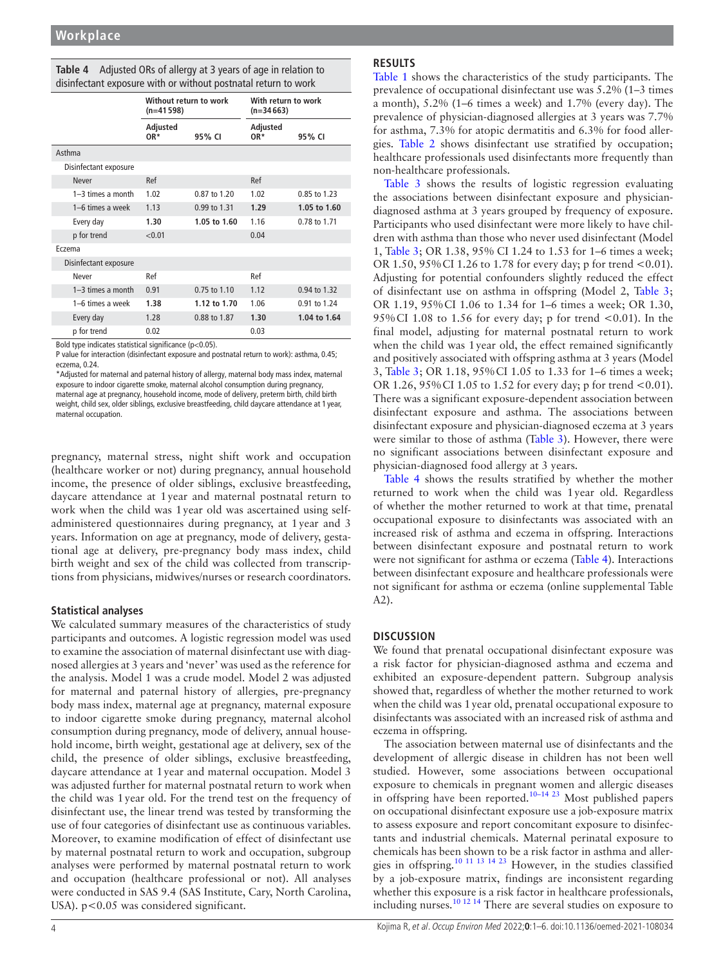<span id="page-3-0"></span>

| Table 4 Adjusted ORs of allergy at 3 years of age in relation to |  |
|------------------------------------------------------------------|--|
| disinfectant exposure with or without postnatal return to work   |  |

|                       | Without return to work<br>$(n=41598)$ |              | With return to work<br>$(n=34663)$ |              |  |
|-----------------------|---------------------------------------|--------------|------------------------------------|--------------|--|
|                       | Adjusted<br>OR*                       | 95% CI       | Adjusted<br>OR*                    | 95% CI       |  |
| Asthma                |                                       |              |                                    |              |  |
| Disinfectant exposure |                                       |              |                                    |              |  |
| Never                 | Ref                                   |              | Ref                                |              |  |
| $1-3$ times a month   | 1.02                                  | 0.87 to 1.20 | 1.02                               | 0.85 to 1.23 |  |
| 1-6 times a week      | 1.13                                  | 0.99 to 1.31 | 1.29                               | 1.05 to 1.60 |  |
| Every day             | 1.30                                  | 1.05 to 1.60 | 1.16                               | 0.78 to 1.71 |  |
| p for trend           | < 0.01                                |              | 0.04                               |              |  |
| Eczema                |                                       |              |                                    |              |  |
| Disinfectant exposure |                                       |              |                                    |              |  |
| Never                 | Ref                                   |              | Ref                                |              |  |
| $1-3$ times a month   | 0.91                                  | 0.75 to 1.10 | 1.12                               | 0.94 to 1.32 |  |
| 1-6 times a week      | 1.38                                  | 1.12 to 1.70 | 1.06                               | 0.91 to 1.24 |  |
| Every day             | 1.28                                  | 0.88 to 1.87 | 1.30                               | 1.04 to 1.64 |  |
| p for trend           | 0.02                                  |              | 0.03                               |              |  |

Bold type indicates statistical significance (p<0.05).

P value for interaction (disinfectant exposure and postnatal return to work): asthma, 0.45; eczema, 0.24.

\*Adjusted for maternal and paternal history of allergy, maternal body mass index, maternal exposure to indoor cigarette smoke, maternal alcohol consumption during pregnancy, maternal age at pregnancy, household income, mode of delivery, preterm birth, child birth weight, child sex, older siblings, exclusive breastfeeding, child daycare attendance at 1 year, maternal occupation.

pregnancy, maternal stress, night shift work and occupation (healthcare worker or not) during pregnancy, annual household income, the presence of older siblings, exclusive breastfeeding, daycare attendance at 1year and maternal postnatal return to work when the child was 1year old was ascertained using selfadministered questionnaires during pregnancy, at 1year and 3 years. Information on age at pregnancy, mode of delivery, gestational age at delivery, pre-pregnancy body mass index, child birth weight and sex of the child was collected from transcriptions from physicians, midwives/nurses or research coordinators.

# **Statistical analyses**

We calculated summary measures of the characteristics of study participants and outcomes. A logistic regression model was used to examine the association of maternal disinfectant use with diagnosed allergies at 3 years and 'never' was used as the reference for the analysis. Model 1 was a crude model. Model 2 was adjusted for maternal and paternal history of allergies, pre-pregnancy body mass index, maternal age at pregnancy, maternal exposure to indoor cigarette smoke during pregnancy, maternal alcohol consumption during pregnancy, mode of delivery, annual household income, birth weight, gestational age at delivery, sex of the child, the presence of older siblings, exclusive breastfeeding, daycare attendance at 1year and maternal occupation. Model 3 was adjusted further for maternal postnatal return to work when the child was 1year old. For the trend test on the frequency of disinfectant use, the linear trend was tested by transforming the use of four categories of disinfectant use as continuous variables. Moreover, to examine modification of effect of disinfectant use by maternal postnatal return to work and occupation, subgroup analyses were performed by maternal postnatal return to work and occupation (healthcare professional or not). All analyses were conducted in SAS 9.4 (SAS Institute, Cary, North Carolina, USA). p<0.05 was considered significant.

# **RESULTS**

[Table](#page-1-0) 1 shows the characteristics of the study participants. The prevalence of occupational disinfectant use was 5.2% (1–3 times a month), 5.2% (1–6 times a week) and 1.7% (every day). The prevalence of physician-diagnosed allergies at 3 years was 7.7% for asthma, 7.3% for atopic dermatitis and 6.3% for food allergies. [Table](#page-1-1) 2 shows disinfectant use stratified by occupation; healthcare professionals used disinfectants more frequently than non-healthcare professionals.

[Table](#page-2-0) 3 shows the results of logistic regression evaluating the associations between disinfectant exposure and physiciandiagnosed asthma at 3 years grouped by frequency of exposure. Participants who used disinfectant were more likely to have children with asthma than those who never used disinfectant (Model 1, [Table](#page-2-0) 3; OR 1.38, 95% CI 1.24 to 1.53 for 1–6 times a week; OR 1.50, 95%CI 1.26 to 1.78 for every day; p for trend <0.01). Adjusting for potential confounders slightly reduced the effect of disinfectant use on asthma in offspring (Model 2, [Table](#page-2-0) 3; OR 1.19, 95%CI 1.06 to 1.34 for 1–6 times a week; OR 1.30, 95% CI 1.08 to 1.56 for every day; p for trend  $< 0.01$ ). In the final model, adjusting for maternal postnatal return to work when the child was 1year old, the effect remained significantly and positively associated with offspring asthma at 3 years (Model 3, [Table](#page-2-0) 3; OR 1.18, 95%CI 1.05 to 1.33 for 1–6 times a week; OR 1.26, 95%CI 1.05 to 1.52 for every day; p for trend <0.01). There was a significant exposure-dependent association between disinfectant exposure and asthma. The associations between disinfectant exposure and physician-diagnosed eczema at 3 years were similar to those of asthma ([Table](#page-2-0) 3). However, there were no significant associations between disinfectant exposure and physician-diagnosed food allergy at 3 years.

[Table](#page-3-0) 4 shows the results stratified by whether the mother returned to work when the child was 1year old. Regardless of whether the mother returned to work at that time, prenatal occupational exposure to disinfectants was associated with an increased risk of asthma and eczema in offspring. Interactions between disinfectant exposure and postnatal return to work were not significant for asthma or eczema ([Table](#page-3-0) 4). Interactions between disinfectant exposure and healthcare professionals were not significant for asthma or eczema [\(online supplemental Table](https://dx.doi.org/10.1136/oemed-2021-108034) [A2\)](https://dx.doi.org/10.1136/oemed-2021-108034).

# **DISCUSSION**

We found that prenatal occupational disinfectant exposure was a risk factor for physician-diagnosed asthma and eczema and exhibited an exposure-dependent pattern. Subgroup analysis showed that, regardless of whether the mother returned to work when the child was 1year old, prenatal occupational exposure to disinfectants was associated with an increased risk of asthma and eczema in offspring.

The association between maternal use of disinfectants and the development of allergic disease in children has not been well studied. However, some associations between occupational exposure to chemicals in pregnant women and allergic diseases in offspring have been reported.<sup>[10–14 23](#page-5-5)</sup> Most published papers on occupational disinfectant exposure use a job-exposure matrix to assess exposure and report concomitant exposure to disinfectants and industrial chemicals. Maternal perinatal exposure to chemicals has been shown to be a risk factor in asthma and allergies in offspring.[10 11 13 14 23](#page-5-5) However, in the studies classified by a job-exposure matrix, findings are inconsistent regarding whether this exposure is a risk factor in healthcare professionals, including nurses.<sup>[10 12 14](#page-5-5)</sup> There are several studies on exposure to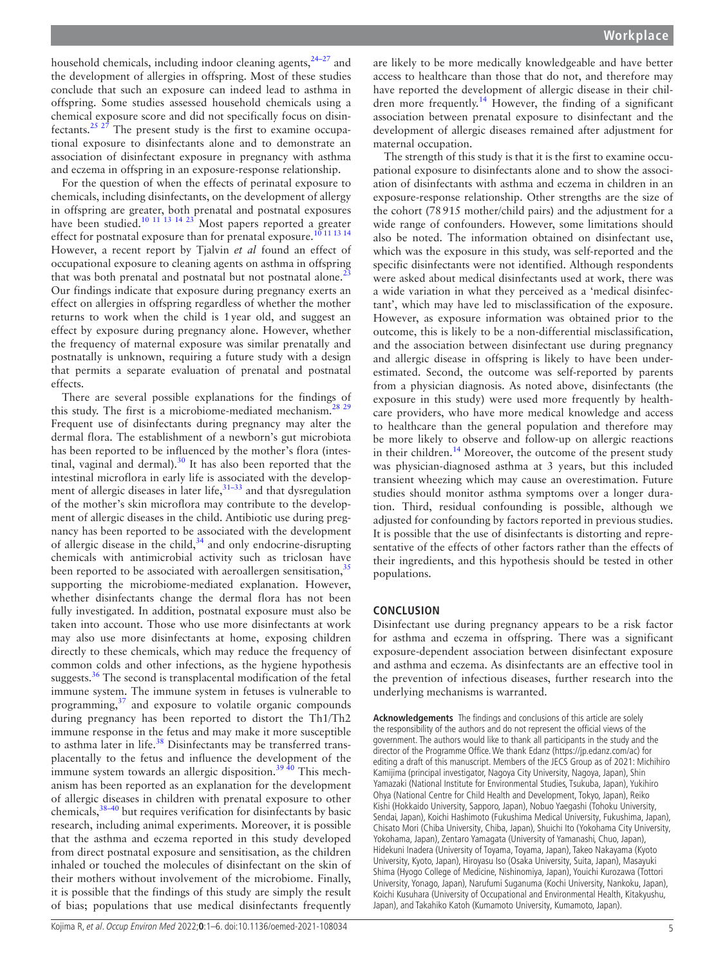household chemicals, including indoor cleaning agents, $24-27$  and the development of allergies in offspring. Most of these studies conclude that such an exposure can indeed lead to asthma in offspring. Some studies assessed household chemicals using a chemical exposure score and did not specifically focus on disinfectants.<sup>25 27</sup> The present study is the first to examine occupational exposure to disinfectants alone and to demonstrate an association of disinfectant exposure in pregnancy with asthma and eczema in offspring in an exposure-response relationship.

For the question of when the effects of perinatal exposure to chemicals, including disinfectants, on the development of allergy in offspring are greater, both prenatal and postnatal exposures have been studied.<sup>10 11 13</sup> <sup>14</sup> <sup>23</sup> Most papers reported a greater effect for postnatal exposure than for prenatal exposure.<sup>10</sup><sup>11 13</sup> <sup>14</sup> However, a recent report by Tjalvin *et al* found an effect of occupational exposure to cleaning agents on asthma in offspring that was both prenatal and postnatal but not postnatal alone. $<sup>2</sup>$ </sup> Our findings indicate that exposure during pregnancy exerts an effect on allergies in offspring regardless of whether the mother returns to work when the child is 1year old, and suggest an effect by exposure during pregnancy alone. However, whether the frequency of maternal exposure was similar prenatally and postnatally is unknown, requiring a future study with a design that permits a separate evaluation of prenatal and postnatal effects.

There are several possible explanations for the findings of this study. The first is a microbiome-mediated mechanism.<sup>2</sup> Frequent use of disinfectants during pregnancy may alter the dermal flora. The establishment of a newborn's gut microbiota has been reported to be influenced by the mother's flora (intestinal, vaginal and dermal). $30$  It has also been reported that the intestinal microflora in early life is associated with the development of allergic diseases in later life, $3^{1-33}$  and that dysregulation of the mother's skin microflora may contribute to the development of allergic diseases in the child. Antibiotic use during pregnancy has been reported to be associated with the development of allergic disease in the child, $34$  and only endocrine-disrupting chemicals with antimicrobial activity such as triclosan have been reported to be associated with aeroallergen sensitisation,<sup>[35](#page-5-22)</sup> supporting the microbiome-mediated explanation. However, whether disinfectants change the dermal flora has not been fully investigated. In addition, postnatal exposure must also be taken into account. Those who use more disinfectants at work may also use more disinfectants at home, exposing children directly to these chemicals, which may reduce the frequency of common colds and other infections, as the hygiene hypothesis suggests. $36$  The second is transplacental modification of the fetal immune system. The immune system in fetuses is vulnerable to programming, $37$  and exposure to volatile organic compounds during pregnancy has been reported to distort the Th1/Th2 immune response in the fetus and may make it more susceptible to asthma later in life.<sup>38</sup> Disinfectants may be transferred transplacentally to the fetus and influence the development of the immune system towards an allergic disposition.<sup>39  $40$ </sup> This mechanism has been reported as an explanation for the development of allergic diseases in children with prenatal exposure to other chemicals, $38-40$  but requires verification for disinfectants by basic research, including animal experiments. Moreover, it is possible that the asthma and eczema reported in this study developed from direct postnatal exposure and sensitisation, as the children inhaled or touched the molecules of disinfectant on the skin of their mothers without involvement of the microbiome. Finally, it is possible that the findings of this study are simply the result of bias; populations that use medical disinfectants frequently

are likely to be more medically knowledgeable and have better access to healthcare than those that do not, and therefore may have reported the development of allergic disease in their chil-dren more frequently.<sup>[14](#page-5-9)</sup> However, the finding of a significant association between prenatal exposure to disinfectant and the development of allergic diseases remained after adjustment for maternal occupation.

The strength of this study is that it is the first to examine occupational exposure to disinfectants alone and to show the association of disinfectants with asthma and eczema in children in an exposure-response relationship. Other strengths are the size of the cohort (78915 mother/child pairs) and the adjustment for a wide range of confounders. However, some limitations should also be noted. The information obtained on disinfectant use, which was the exposure in this study, was self-reported and the specific disinfectants were not identified. Although respondents were asked about medical disinfectants used at work, there was a wide variation in what they perceived as a 'medical disinfectant', which may have led to misclassification of the exposure. However, as exposure information was obtained prior to the outcome, this is likely to be a non-differential misclassification, and the association between disinfectant use during pregnancy and allergic disease in offspring is likely to have been underestimated. Second, the outcome was self-reported by parents from a physician diagnosis. As noted above, disinfectants (the exposure in this study) were used more frequently by healthcare providers, who have more medical knowledge and access to healthcare than the general population and therefore may be more likely to observe and follow-up on allergic reactions in their children.<sup>14</sup> Moreover, the outcome of the present study was physician-diagnosed asthma at 3 years, but this included transient wheezing which may cause an overestimation. Future studies should monitor asthma symptoms over a longer duration. Third, residual confounding is possible, although we adjusted for confounding by factors reported in previous studies. It is possible that the use of disinfectants is distorting and representative of the effects of other factors rather than the effects of their ingredients, and this hypothesis should be tested in other populations.

#### **CONCLUSION**

Disinfectant use during pregnancy appears to be a risk factor for asthma and eczema in offspring. There was a significant exposure-dependent association between disinfectant exposure and asthma and eczema. As disinfectants are an effective tool in the prevention of infectious diseases, further research into the underlying mechanisms is warranted.

**Acknowledgements** The findings and conclusions of this article are solely the responsibility of the authors and do not represent the official views of the government. The authors would like to thank all participants in the study and the director of the Programme Office. We thank Edanz [\(https://jp.edanz.com/ac\)](https://jp.edanz.com/ac) for editing a draft of this manuscript. Members of the JECS Group as of 2021: Michihiro Kamijima (principal investigator, Nagoya City University, Nagoya, Japan), Shin Yamazaki (National Institute for Environmental Studies, Tsukuba, Japan), Yukihiro Ohya (National Centre for Child Health and Development, Tokyo, Japan), Reiko Kishi (Hokkaido University, Sapporo, Japan), Nobuo Yaegashi (Tohoku University, Sendai, Japan), Koichi Hashimoto (Fukushima Medical University, Fukushima, Japan), Chisato Mori (Chiba University, Chiba, Japan), Shuichi Ito (Yokohama City University, Yokohama, Japan), Zentaro Yamagata (University of Yamanashi, Chuo, Japan), Hidekuni Inadera (University of Toyama, Toyama, Japan), Takeo Nakayama (Kyoto University, Kyoto, Japan), Hiroyasu Iso (Osaka University, Suita, Japan), Masayuki Shima (Hyogo College of Medicine, Nishinomiya, Japan), Youichi Kurozawa (Tottori University, Yonago, Japan), Narufumi Suganuma (Kochi University, Nankoku, Japan), Koichi Kusuhara (University of Occupational and Environmental Health, Kitakyushu, Japan), and Takahiko Katoh (Kumamoto University, Kumamoto, Japan).